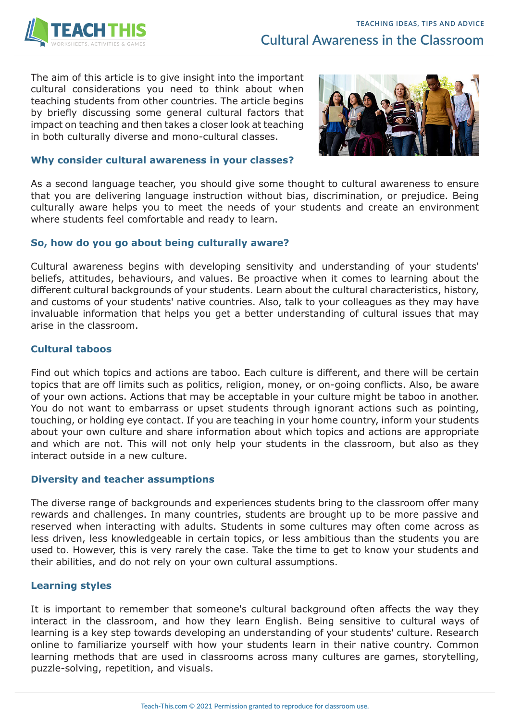The aim of this article is to give insight into the important cultural considerations you need to think about when teaching students from other countries. The article begins by briefly discussing some general cultural factors that impact on teaching and then takes a closer look at teaching in both culturally diverse and mono-cultural classes.



# **Why consider cultural awareness in your classes?**

As a second language teacher, you should give some thought to cultural awareness to ensure that you are delivering language instruction without bias, discrimination, or prejudice. Being culturally aware helps you to meet the needs of your students and create an environment where students feel comfortable and ready to learn.

# **So, how do you go about being culturally aware?**

Cultural awareness begins with developing sensitivity and understanding of your students' beliefs, attitudes, behaviours, and values. Be proactive when it comes to learning about the different cultural backgrounds of your students. Learn about the cultural characteristics, history, and customs of your students' native countries. Also, talk to your colleagues as they may have invaluable information that helps you get a better understanding of cultural issues that may arise in the classroom.

# **Cultural taboos**

Find out which topics and actions are taboo. Each culture is different, and there will be certain topics that are off limits such as politics, religion, money, or on-going conflicts. Also, be aware of your own actions. Actions that may be acceptable in your culture might be taboo in another. You do not want to embarrass or upset students through ignorant actions such as pointing, touching, or holding eye contact. If you are teaching in your home country, inform your students about your own culture and share information about which topics and actions are appropriate and which are not. This will not only help your students in the classroom, but also as they interact outside in a new culture.

# **Diversity and teacher assumptions**

The diverse range of backgrounds and experiences students bring to the classroom offer many rewards and challenges. In many countries, students are brought up to be more passive and reserved when interacting with adults. Students in some cultures may often come across as less driven, less knowledgeable in certain topics, or less ambitious than the students you are used to. However, this is very rarely the case. Take the time to get to know your students and their abilities, and do not rely on your own cultural assumptions.

# **Learning styles**

It is important to remember that someone's cultural background often affects the way they interact in the classroom, and how they learn English. Being sensitive to cultural ways of learning is a key step towards developing an understanding of your students' culture. Research online to familiarize yourself with how your students learn in their native country. Common learning methods that are used in classrooms across many cultures are games, storytelling, puzzle-solving, repetition, and visuals.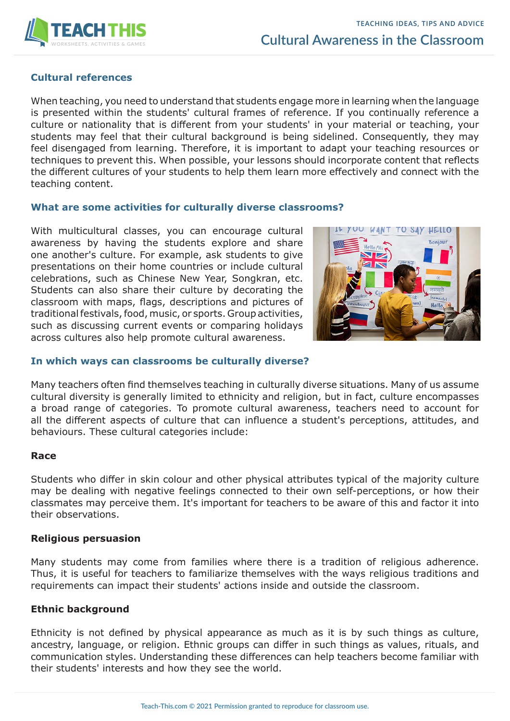

# **Cultural references**

When teaching, you need to understand that students engage more in learning when the language is presented within the students' cultural frames of reference. If you continually reference a culture or nationality that is different from your students' in your material or teaching, your students may feel that their cultural background is being sidelined. Consequently, they may feel disengaged from learning. Therefore, it is important to adapt your teaching resources or techniques to prevent this. When possible, your lessons should incorporate content that reflects the different cultures of your students to help them learn more effectively and connect with the teaching content.

#### **What are some activities for culturally diverse classrooms?**

With multicultural classes, you can encourage cultural awareness by having the students explore and share one another's culture. For example, ask students to give presentations on their home countries or include cultural celebrations, such as Chinese New Year, Songkran, etc. Students can also share their culture by decorating the classroom with maps, flags, descriptions and pictures of traditional festivals, food, music, or sports. Group activities, such as discussing current events or comparing holidays across cultures also help promote cultural awareness.



### **In which ways can classrooms be culturally diverse?**

Many teachers often find themselves teaching in culturally diverse situations. Many of us assume cultural diversity is generally limited to ethnicity and religion, but in fact, culture encompasses a broad range of categories. To promote cultural awareness, teachers need to account for all the different aspects of culture that can influence a student's perceptions, attitudes, and behaviours. These cultural categories include:

#### **Race**

Students who differ in skin colour and other physical attributes typical of the majority culture may be dealing with negative feelings connected to their own self-perceptions, or how their classmates may perceive them. It's important for teachers to be aware of this and factor it into their observations.

### **Religious persuasion**

Many students may come from families where there is a tradition of religious adherence. Thus, it is useful for teachers to familiarize themselves with the ways religious traditions and requirements can impact their students' actions inside and outside the classroom.

### **Ethnic background**

Ethnicity is not defined by physical appearance as much as it is by such things as culture, ancestry, language, or religion. Ethnic groups can differ in such things as values, rituals, and communication styles. Understanding these differences can help teachers become familiar with their students' interests and how they see the world.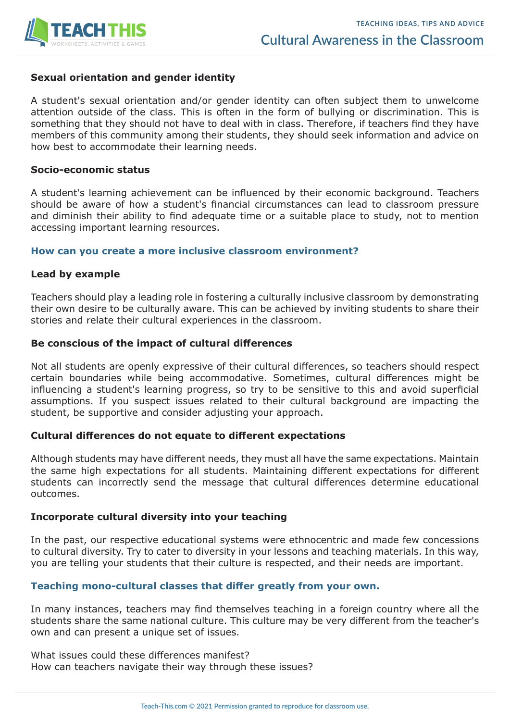

# **Sexual orientation and gender identity**

A student's sexual orientation and/or gender identity can often subject them to unwelcome attention outside of the class. This is often in the form of bullying or discrimination. This is something that they should not have to deal with in class. Therefore, if teachers find they have members of this community among their students, they should seek information and advice on how best to accommodate their learning needs.

### **Socio-economic status**

A student's learning achievement can be influenced by their economic background. Teachers should be aware of how a student's financial circumstances can lead to classroom pressure and diminish their ability to find adequate time or a suitable place to study, not to mention accessing important learning resources.

### **How can you create a more inclusive classroom environment?**

### **Lead by example**

Teachers should play a leading role in fostering a culturally inclusive classroom by demonstrating their own desire to be culturally aware. This can be achieved by inviting students to share their stories and relate their cultural experiences in the classroom.

### **Be conscious of the impact of cultural differences**

Not all students are openly expressive of their cultural differences, so teachers should respect certain boundaries while being accommodative. Sometimes, cultural differences might be influencing a student's learning progress, so try to be sensitive to this and avoid superficial assumptions. If you suspect issues related to their cultural background are impacting the student, be supportive and consider adjusting your approach.

# **Cultural differences do not equate to different expectations**

Although students may have different needs, they must all have the same expectations. Maintain the same high expectations for all students. Maintaining different expectations for different students can incorrectly send the message that cultural differences determine educational outcomes.

# **Incorporate cultural diversity into your teaching**

In the past, our respective educational systems were ethnocentric and made few concessions to cultural diversity. Try to cater to diversity in your lessons and teaching materials. In this way, you are telling your students that their culture is respected, and their needs are important.

# **Teaching mono-cultural classes that differ greatly from your own.**

In many instances, teachers may find themselves teaching in a foreign country where all the students share the same national culture. This culture may be very different from the teacher's own and can present a unique set of issues.

What issues could these differences manifest? How can teachers navigate their way through these issues?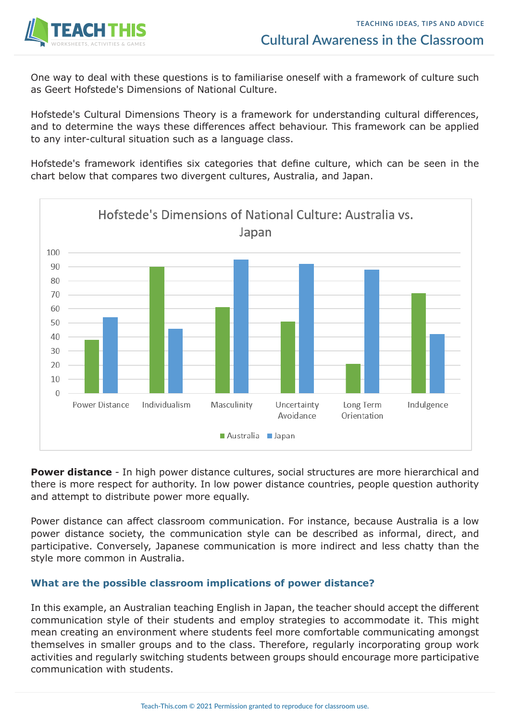

One way to deal with these questions is to familiarise oneself with a framework of culture such as Geert Hofstede's Dimensions of National Culture.

Hofstede's Cultural Dimensions Theory is a framework for understanding cultural differences, and to determine the ways these differences affect behaviour. This framework can be applied to any inter-cultural situation such as a language class.

Hofstede's framework identifies six categories that define culture, which can be seen in the chart below that compares two divergent cultures, Australia, and Japan.



**Power distance** - In high power distance cultures, social structures are more hierarchical and there is more respect for authority. In low power distance countries, people question authority and attempt to distribute power more equally.

Power distance can affect classroom communication. For instance, because Australia is a low power distance society, the communication style can be described as informal, direct, and participative. Conversely, Japanese communication is more indirect and less chatty than the style more common in Australia.

# **What are the possible classroom implications of power distance?**

In this example, an Australian teaching English in Japan, the teacher should accept the different communication style of their students and employ strategies to accommodate it. This might mean creating an environment where students feel more comfortable communicating amongst themselves in smaller groups and to the class. Therefore, regularly incorporating group work activities and regularly switching students between groups should encourage more participative communication with students.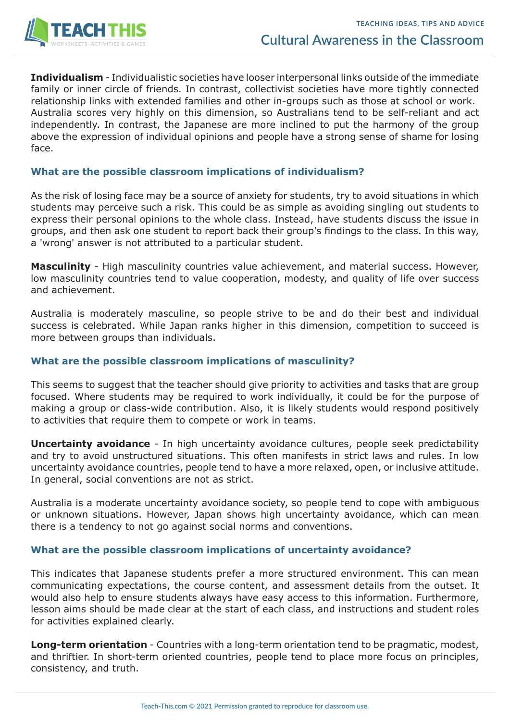

**Individualism** - Individualistic societies have looser interpersonal links outside of the immediate family or inner circle of friends. In contrast, collectivist societies have more tightly connected relationship links with extended families and other in-groups such as those at school or work. Australia scores very highly on this dimension, so Australians tend to be self-reliant and act independently. In contrast, the Japanese are more inclined to put the harmony of the group above the expression of individual opinions and people have a strong sense of shame for losing face.

# **What are the possible classroom implications of individualism?**

As the risk of losing face may be a source of anxiety for students, try to avoid situations in which students may perceive such a risk. This could be as simple as avoiding singling out students to express their personal opinions to the whole class. Instead, have students discuss the issue in groups, and then ask one student to report back their group's findings to the class. In this way, a 'wrong' answer is not attributed to a particular student.

**Masculinity** - High masculinity countries value achievement, and material success. However, low masculinity countries tend to value cooperation, modesty, and quality of life over success and achievement.

Australia is moderately masculine, so people strive to be and do their best and individual success is celebrated. While Japan ranks higher in this dimension, competition to succeed is more between groups than individuals.

### **What are the possible classroom implications of masculinity?**

This seems to suggest that the teacher should give priority to activities and tasks that are group focused. Where students may be required to work individually, it could be for the purpose of making a group or class-wide contribution. Also, it is likely students would respond positively to activities that require them to compete or work in teams.

**Uncertainty avoidance** - In high uncertainty avoidance cultures, people seek predictability and try to avoid unstructured situations. This often manifests in strict laws and rules. In low uncertainty avoidance countries, people tend to have a more relaxed, open, or inclusive attitude. In general, social conventions are not as strict.

Australia is a moderate uncertainty avoidance society, so people tend to cope with ambiguous or unknown situations. However, Japan shows high uncertainty avoidance, which can mean there is a tendency to not go against social norms and conventions.

### **What are the possible classroom implications of uncertainty avoidance?**

This indicates that Japanese students prefer a more structured environment. This can mean communicating expectations, the course content, and assessment details from the outset. It would also help to ensure students always have easy access to this information. Furthermore, lesson aims should be made clear at the start of each class, and instructions and student roles for activities explained clearly.

**Long-term orientation** - Countries with a long-term orientation tend to be pragmatic, modest, and thriftier. In short-term oriented countries, people tend to place more focus on principles, consistency, and truth.